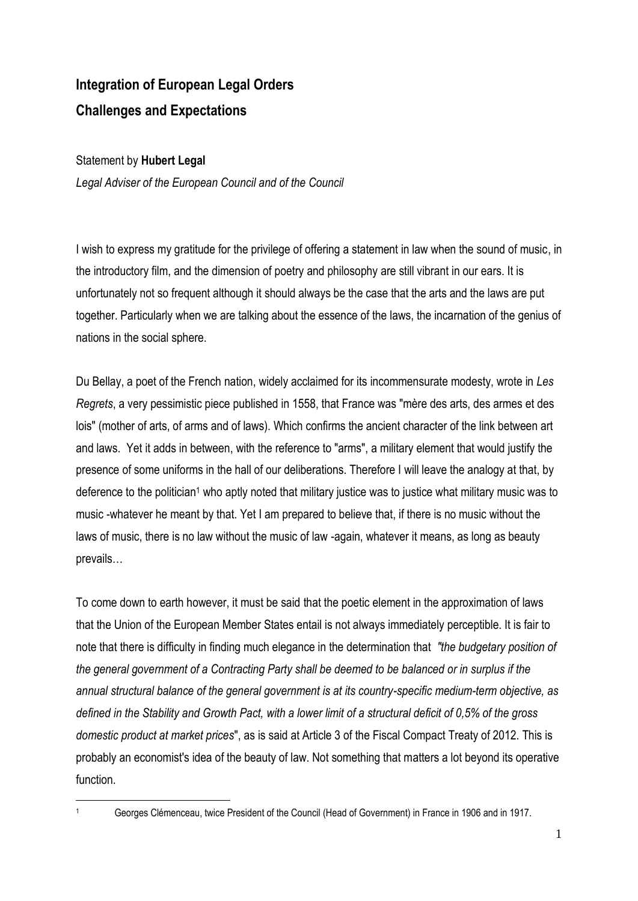## **Integration of European Legal Orders Challenges and Expectations**

## Statement by **Hubert Legal**

*Legal Adviser of the European Council and of the Council*

I wish to express my gratitude for the privilege of offering a statement in law when the sound of music, in the introductory film, and the dimension of poetry and philosophy are still vibrant in our ears. It is unfortunately not so frequent although it should always be the case that the arts and the laws are put together. Particularly when we are talking about the essence of the laws, the incarnation of the genius of nations in the social sphere.

Du Bellay, a poet of the French nation, widely acclaimed for its incommensurate modesty, wrote in *Les Regrets*, a very pessimistic piece published in 1558, that France was "mère des arts, des armes et des lois" (mother of arts, of arms and of laws). Which confirms the ancient character of the link between art and laws. Yet it adds in between, with the reference to "arms", a military element that would justify the presence of some uniforms in the hall of our deliberations. Therefore I will leave the analogy at that, by deference to the politician<sup>1</sup> who aptly noted that military justice was to justice what military music was to music -whatever he meant by that. Yet I am prepared to believe that, if there is no music without the laws of music, there is no law without the music of law -again, whatever it means, as long as beauty prevails…

To come down to earth however, it must be said that the poetic element in the approximation of laws that the Union of the European Member States entail is not always immediately perceptible. It is fair to note that there is difficulty in finding much elegance in the determination that *"the budgetary position of the general government of a Contracting Party shall be deemed to be balanced or in surplus if the annual structural balance of the general government is at its country-specific medium-term objective, as defined in the Stability and Growth Pact, with a lower limit of a structural deficit of 0,5% of the gross domestic product at market prices*", as is said at Article 3 of the Fiscal Compact Treaty of 2012. This is probably an economist's idea of the beauty of law. Not something that matters a lot beyond its operative function.

 $\overline{a}$ 

<sup>1</sup> Georges Clémenceau, twice President of the Council (Head of Government) in France in 1906 and in 1917.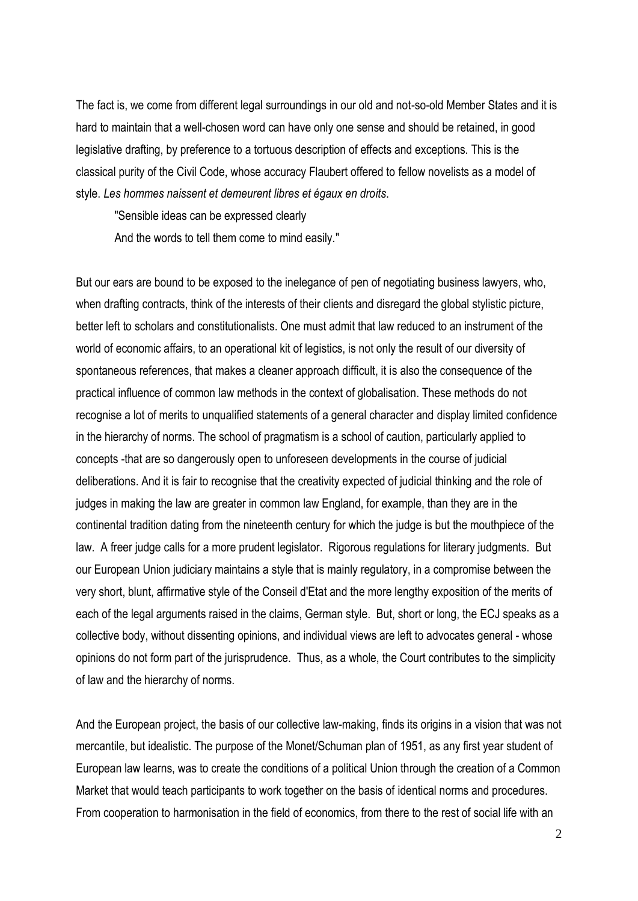The fact is, we come from different legal surroundings in our old and not-so-old Member States and it is hard to maintain that a well-chosen word can have only one sense and should be retained, in good legislative drafting, by preference to a tortuous description of effects and exceptions. This is the classical purity of the Civil Code, whose accuracy Flaubert offered to fellow novelists as a model of style. *Les hommes naissent et demeurent libres et égaux en droits*.

"Sensible ideas can be expressed clearly

And the words to tell them come to mind easily."

But our ears are bound to be exposed to the inelegance of pen of negotiating business lawyers, who, when drafting contracts, think of the interests of their clients and disregard the global stylistic picture, better left to scholars and constitutionalists. One must admit that law reduced to an instrument of the world of economic affairs, to an operational kit of legistics, is not only the result of our diversity of spontaneous references, that makes a cleaner approach difficult, it is also the consequence of the practical influence of common law methods in the context of globalisation. These methods do not recognise a lot of merits to unqualified statements of a general character and display limited confidence in the hierarchy of norms. The school of pragmatism is a school of caution, particularly applied to concepts -that are so dangerously open to unforeseen developments in the course of judicial deliberations. And it is fair to recognise that the creativity expected of judicial thinking and the role of judges in making the law are greater in common law England, for example, than they are in the continental tradition dating from the nineteenth century for which the judge is but the mouthpiece of the law. A freer judge calls for a more prudent legislator. Rigorous regulations for literary judgments. But our European Union judiciary maintains a style that is mainly regulatory, in a compromise between the very short, blunt, affirmative style of the Conseil d'Etat and the more lengthy exposition of the merits of each of the legal arguments raised in the claims, German style. But, short or long, the ECJ speaks as a collective body, without dissenting opinions, and individual views are left to advocates general - whose opinions do not form part of the jurisprudence. Thus, as a whole, the Court contributes to the simplicity of law and the hierarchy of norms.

And the European project, the basis of our collective law-making, finds its origins in a vision that was not mercantile, but idealistic. The purpose of the Monet/Schuman plan of 1951, as any first year student of European law learns, was to create the conditions of a political Union through the creation of a Common Market that would teach participants to work together on the basis of identical norms and procedures. From cooperation to harmonisation in the field of economics, from there to the rest of social life with an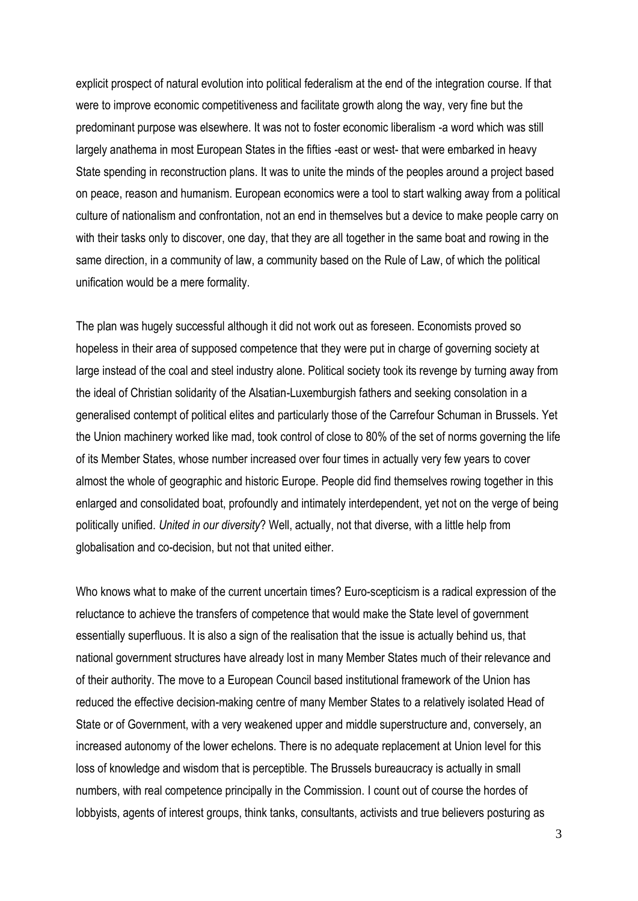explicit prospect of natural evolution into political federalism at the end of the integration course. If that were to improve economic competitiveness and facilitate growth along the way, very fine but the predominant purpose was elsewhere. It was not to foster economic liberalism -a word which was still largely anathema in most European States in the fifties -east or west- that were embarked in heavy State spending in reconstruction plans. It was to unite the minds of the peoples around a project based on peace, reason and humanism. European economics were a tool to start walking away from a political culture of nationalism and confrontation, not an end in themselves but a device to make people carry on with their tasks only to discover, one day, that they are all together in the same boat and rowing in the same direction, in a community of law, a community based on the Rule of Law, of which the political unification would be a mere formality.

The plan was hugely successful although it did not work out as foreseen. Economists proved so hopeless in their area of supposed competence that they were put in charge of governing society at large instead of the coal and steel industry alone. Political society took its revenge by turning away from the ideal of Christian solidarity of the Alsatian-Luxemburgish fathers and seeking consolation in a generalised contempt of political elites and particularly those of the Carrefour Schuman in Brussels. Yet the Union machinery worked like mad, took control of close to 80% of the set of norms governing the life of its Member States, whose number increased over four times in actually very few years to cover almost the whole of geographic and historic Europe. People did find themselves rowing together in this enlarged and consolidated boat, profoundly and intimately interdependent, yet not on the verge of being politically unified. *United in our diversity*? Well, actually, not that diverse, with a little help from globalisation and co-decision, but not that united either.

Who knows what to make of the current uncertain times? Euro-scepticism is a radical expression of the reluctance to achieve the transfers of competence that would make the State level of government essentially superfluous. It is also a sign of the realisation that the issue is actually behind us, that national government structures have already lost in many Member States much of their relevance and of their authority. The move to a European Council based institutional framework of the Union has reduced the effective decision-making centre of many Member States to a relatively isolated Head of State or of Government, with a very weakened upper and middle superstructure and, conversely, an increased autonomy of the lower echelons. There is no adequate replacement at Union level for this loss of knowledge and wisdom that is perceptible. The Brussels bureaucracy is actually in small numbers, with real competence principally in the Commission. I count out of course the hordes of lobbyists, agents of interest groups, think tanks, consultants, activists and true believers posturing as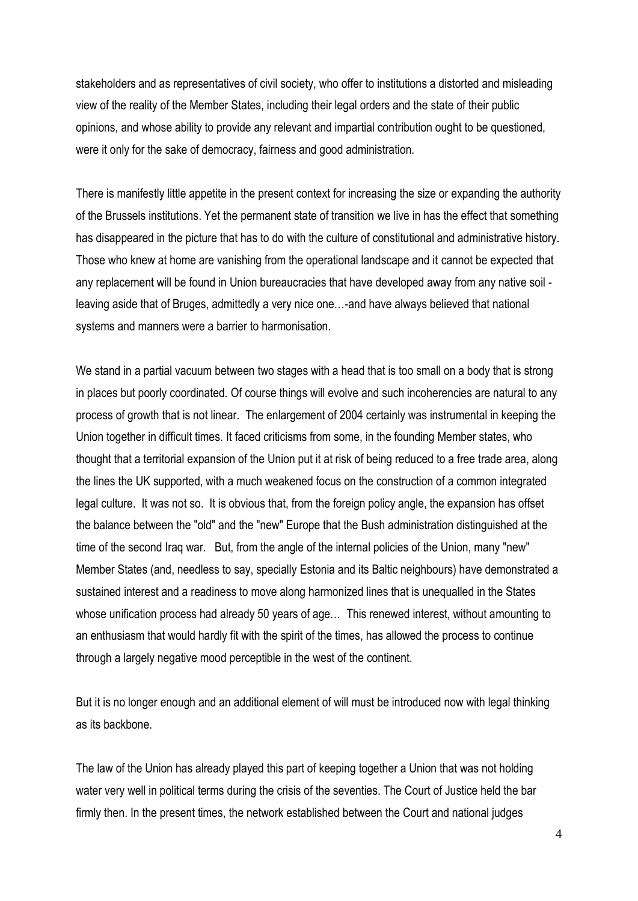stakeholders and as representatives of civil society, who offer to institutions a distorted and misleading view of the reality of the Member States, including their legal orders and the state of their public opinions, and whose ability to provide any relevant and impartial contribution ought to be questioned, were it only for the sake of democracy, fairness and good administration.

There is manifestly little appetite in the present context for increasing the size or expanding the authority of the Brussels institutions. Yet the permanent state of transition we live in has the effect that something has disappeared in the picture that has to do with the culture of constitutional and administrative history. Those who knew at home are vanishing from the operational landscape and it cannot be expected that any replacement will be found in Union bureaucracies that have developed away from any native soil leaving aside that of Bruges, admittedly a very nice one…-and have always believed that national systems and manners were a barrier to harmonisation.

We stand in a partial vacuum between two stages with a head that is too small on a body that is strong in places but poorly coordinated. Of course things will evolve and such incoherencies are natural to any process of growth that is not linear. The enlargement of 2004 certainly was instrumental in keeping the Union together in difficult times. It faced criticisms from some, in the founding Member states, who thought that a territorial expansion of the Union put it at risk of being reduced to a free trade area, along the lines the UK supported, with a much weakened focus on the construction of a common integrated legal culture. It was not so. It is obvious that, from the foreign policy angle, the expansion has offset the balance between the "old" and the "new" Europe that the Bush administration distinguished at the time of the second Iraq war. But, from the angle of the internal policies of the Union, many "new" Member States (and, needless to say, specially Estonia and its Baltic neighbours) have demonstrated a sustained interest and a readiness to move along harmonized lines that is unequalled in the States whose unification process had already 50 years of age… This renewed interest, without amounting to an enthusiasm that would hardly fit with the spirit of the times, has allowed the process to continue through a largely negative mood perceptible in the west of the continent.

But it is no longer enough and an additional element of will must be introduced now with legal thinking as its backbone.

The law of the Union has already played this part of keeping together a Union that was not holding water very well in political terms during the crisis of the seventies. The Court of Justice held the bar firmly then. In the present times, the network established between the Court and national judges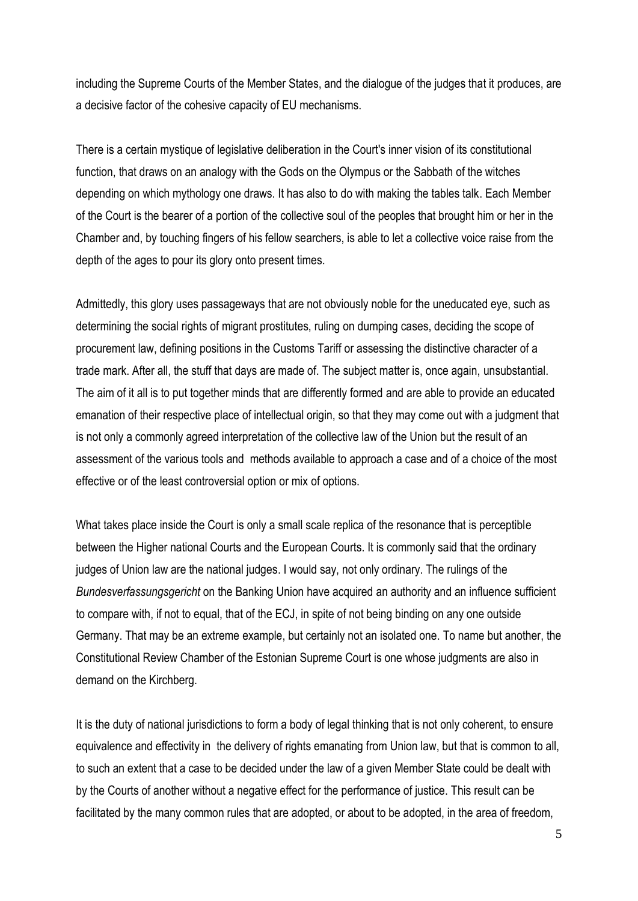including the Supreme Courts of the Member States, and the dialogue of the judges that it produces, are a decisive factor of the cohesive capacity of EU mechanisms.

There is a certain mystique of legislative deliberation in the Court's inner vision of its constitutional function, that draws on an analogy with the Gods on the Olympus or the Sabbath of the witches depending on which mythology one draws. It has also to do with making the tables talk. Each Member of the Court is the bearer of a portion of the collective soul of the peoples that brought him or her in the Chamber and, by touching fingers of his fellow searchers, is able to let a collective voice raise from the depth of the ages to pour its glory onto present times.

Admittedly, this glory uses passageways that are not obviously noble for the uneducated eye, such as determining the social rights of migrant prostitutes, ruling on dumping cases, deciding the scope of procurement law, defining positions in the Customs Tariff or assessing the distinctive character of a trade mark. After all, the stuff that days are made of. The subject matter is, once again, unsubstantial. The aim of it all is to put together minds that are differently formed and are able to provide an educated emanation of their respective place of intellectual origin, so that they may come out with a judgment that is not only a commonly agreed interpretation of the collective law of the Union but the result of an assessment of the various tools and methods available to approach a case and of a choice of the most effective or of the least controversial option or mix of options.

What takes place inside the Court is only a small scale replica of the resonance that is perceptible between the Higher national Courts and the European Courts. It is commonly said that the ordinary judges of Union law are the national judges. I would say, not only ordinary. The rulings of the *Bundesverfassungsgericht* on the Banking Union have acquired an authority and an influence sufficient to compare with, if not to equal, that of the ECJ, in spite of not being binding on any one outside Germany. That may be an extreme example, but certainly not an isolated one. To name but another, the Constitutional Review Chamber of the Estonian Supreme Court is one whose judgments are also in demand on the Kirchberg.

It is the duty of national jurisdictions to form a body of legal thinking that is not only coherent, to ensure equivalence and effectivity in the delivery of rights emanating from Union law, but that is common to all, to such an extent that a case to be decided under the law of a given Member State could be dealt with by the Courts of another without a negative effect for the performance of justice. This result can be facilitated by the many common rules that are adopted, or about to be adopted, in the area of freedom,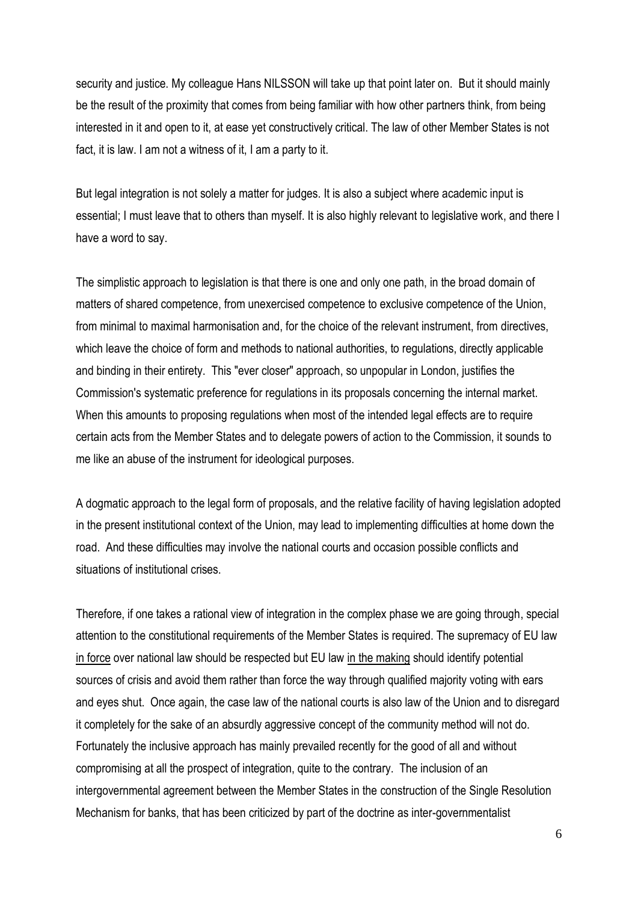security and justice. My colleague Hans NILSSON will take up that point later on. But it should mainly be the result of the proximity that comes from being familiar with how other partners think, from being interested in it and open to it, at ease yet constructively critical. The law of other Member States is not fact, it is law. I am not a witness of it, I am a party to it.

But legal integration is not solely a matter for judges. It is also a subject where academic input is essential; I must leave that to others than myself. It is also highly relevant to legislative work, and there I have a word to say.

The simplistic approach to legislation is that there is one and only one path, in the broad domain of matters of shared competence, from unexercised competence to exclusive competence of the Union, from minimal to maximal harmonisation and, for the choice of the relevant instrument, from directives, which leave the choice of form and methods to national authorities, to regulations, directly applicable and binding in their entirety. This "ever closer" approach, so unpopular in London, justifies the Commission's systematic preference for regulations in its proposals concerning the internal market. When this amounts to proposing regulations when most of the intended legal effects are to require certain acts from the Member States and to delegate powers of action to the Commission, it sounds to me like an abuse of the instrument for ideological purposes.

A dogmatic approach to the legal form of proposals, and the relative facility of having legislation adopted in the present institutional context of the Union, may lead to implementing difficulties at home down the road. And these difficulties may involve the national courts and occasion possible conflicts and situations of institutional crises.

Therefore, if one takes a rational view of integration in the complex phase we are going through, special attention to the constitutional requirements of the Member States is required. The supremacy of EU law in force over national law should be respected but EU law in the making should identify potential sources of crisis and avoid them rather than force the way through qualified majority voting with ears and eyes shut. Once again, the case law of the national courts is also law of the Union and to disregard it completely for the sake of an absurdly aggressive concept of the community method will not do. Fortunately the inclusive approach has mainly prevailed recently for the good of all and without compromising at all the prospect of integration, quite to the contrary. The inclusion of an intergovernmental agreement between the Member States in the construction of the Single Resolution Mechanism for banks, that has been criticized by part of the doctrine as inter-governmentalist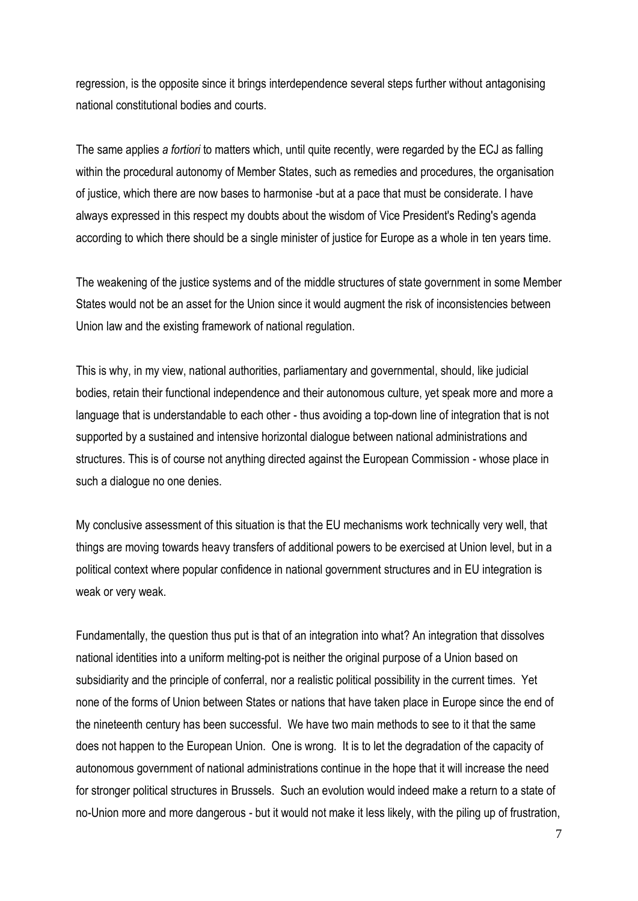regression, is the opposite since it brings interdependence several steps further without antagonising national constitutional bodies and courts.

The same applies *a fortiori* to matters which, until quite recently, were regarded by the ECJ as falling within the procedural autonomy of Member States, such as remedies and procedures, the organisation of justice, which there are now bases to harmonise -but at a pace that must be considerate. I have always expressed in this respect my doubts about the wisdom of Vice President's Reding's agenda according to which there should be a single minister of justice for Europe as a whole in ten years time.

The weakening of the justice systems and of the middle structures of state government in some Member States would not be an asset for the Union since it would augment the risk of inconsistencies between Union law and the existing framework of national regulation.

This is why, in my view, national authorities, parliamentary and governmental, should, like judicial bodies, retain their functional independence and their autonomous culture, yet speak more and more a language that is understandable to each other - thus avoiding a top-down line of integration that is not supported by a sustained and intensive horizontal dialogue between national administrations and structures. This is of course not anything directed against the European Commission - whose place in such a dialogue no one denies.

My conclusive assessment of this situation is that the EU mechanisms work technically very well, that things are moving towards heavy transfers of additional powers to be exercised at Union level, but in a political context where popular confidence in national government structures and in EU integration is weak or very weak.

Fundamentally, the question thus put is that of an integration into what? An integration that dissolves national identities into a uniform melting-pot is neither the original purpose of a Union based on subsidiarity and the principle of conferral, nor a realistic political possibility in the current times. Yet none of the forms of Union between States or nations that have taken place in Europe since the end of the nineteenth century has been successful. We have two main methods to see to it that the same does not happen to the European Union. One is wrong. It is to let the degradation of the capacity of autonomous government of national administrations continue in the hope that it will increase the need for stronger political structures in Brussels. Such an evolution would indeed make a return to a state of no-Union more and more dangerous - but it would not make it less likely, with the piling up of frustration,